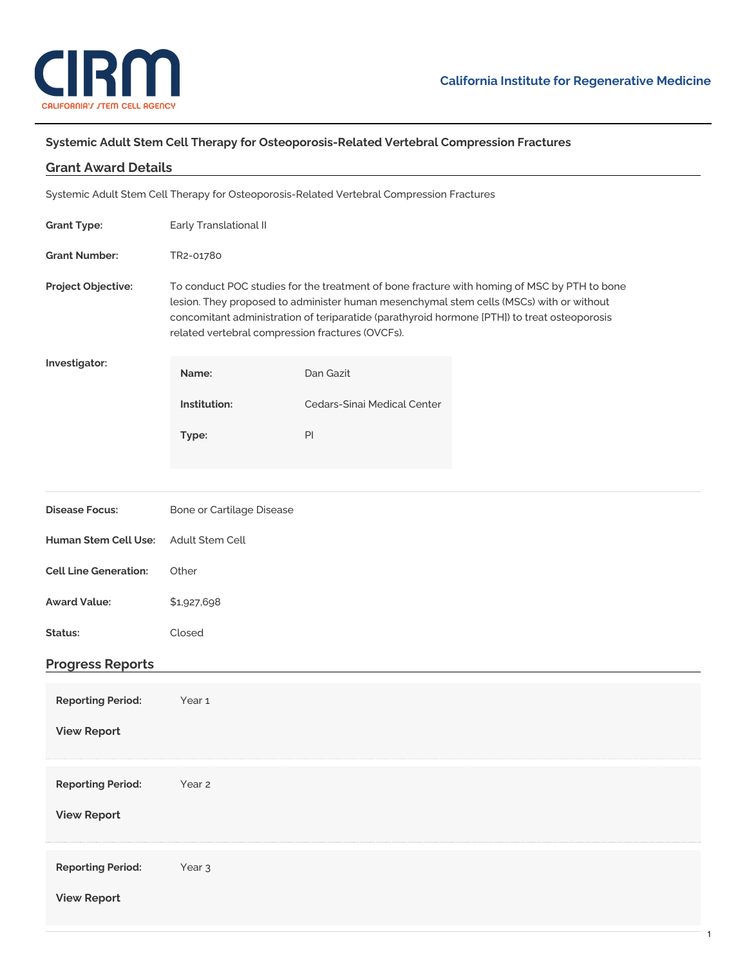

## **Systemic Adult Stem Cell Therapy for Osteoporosis-Related Vertebral Compression Fractures**

| <b>Grant Award Details</b>                                                                |                                                                                                                                                                                                                                                                                                                                            |                             |  |
|-------------------------------------------------------------------------------------------|--------------------------------------------------------------------------------------------------------------------------------------------------------------------------------------------------------------------------------------------------------------------------------------------------------------------------------------------|-----------------------------|--|
| Systemic Adult Stem Cell Therapy for Osteoporosis-Related Vertebral Compression Fractures |                                                                                                                                                                                                                                                                                                                                            |                             |  |
| <b>Grant Type:</b>                                                                        | Early Translational II                                                                                                                                                                                                                                                                                                                     |                             |  |
| <b>Grant Number:</b>                                                                      | TR2-01780                                                                                                                                                                                                                                                                                                                                  |                             |  |
| Project Objective:                                                                        | To conduct POC studies for the treatment of bone fracture with homing of MSC by PTH to bone<br>lesion. They proposed to administer human mesenchymal stem cells (MSCs) with or without<br>concomitant administration of teriparatide (parathyroid hormone [PTH]) to treat osteoporosis<br>related vertebral compression fractures (OVCFs). |                             |  |
| Investigator:                                                                             | Name:                                                                                                                                                                                                                                                                                                                                      | Dan Gazit                   |  |
|                                                                                           | Institution:                                                                                                                                                                                                                                                                                                                               | Cedars-Sinai Medical Center |  |
|                                                                                           | Type:                                                                                                                                                                                                                                                                                                                                      | PI                          |  |
|                                                                                           |                                                                                                                                                                                                                                                                                                                                            |                             |  |
| <b>Disease Focus:</b>                                                                     | Bone or Cartilage Disease                                                                                                                                                                                                                                                                                                                  |                             |  |
| <b>Human Stem Cell Use:</b>                                                               | Adult Stem Cell                                                                                                                                                                                                                                                                                                                            |                             |  |
| <b>Cell Line Generation:</b>                                                              | Other                                                                                                                                                                                                                                                                                                                                      |                             |  |
| <b>Award Value:</b>                                                                       | \$1,927,698                                                                                                                                                                                                                                                                                                                                |                             |  |
| Status:                                                                                   | Closed                                                                                                                                                                                                                                                                                                                                     |                             |  |
| <b>Progress Reports</b>                                                                   |                                                                                                                                                                                                                                                                                                                                            |                             |  |
| <b>Reporting Period:</b>                                                                  | Year 1                                                                                                                                                                                                                                                                                                                                     |                             |  |
| <b>View Report</b>                                                                        |                                                                                                                                                                                                                                                                                                                                            |                             |  |
|                                                                                           |                                                                                                                                                                                                                                                                                                                                            |                             |  |
| <b>Reporting Period:</b>                                                                  | Year 2                                                                                                                                                                                                                                                                                                                                     |                             |  |
| <b>View Report</b>                                                                        |                                                                                                                                                                                                                                                                                                                                            |                             |  |
| <b>Reporting Period:</b><br><b>View Report</b>                                            | Year <sub>3</sub>                                                                                                                                                                                                                                                                                                                          |                             |  |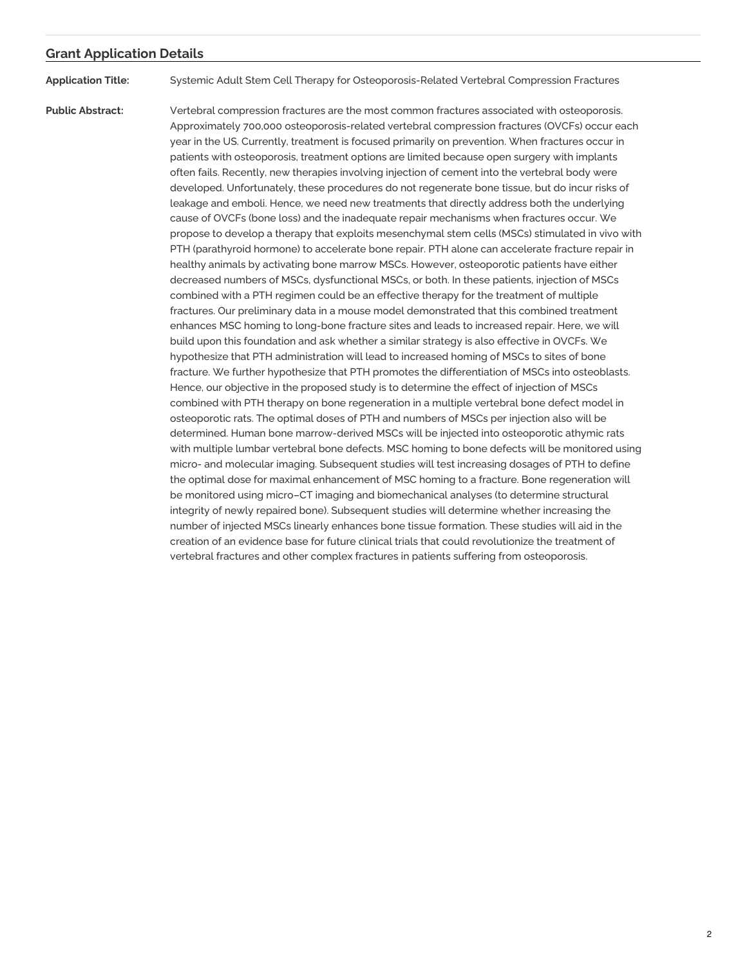## **Grant Application Details**

**Application Title:** Systemic Adult Stem Cell Therapy for Osteoporosis-Related Vertebral Compression Fractures

**Public Abstract:** Vertebral compression fractures are the most common fractures associated with osteoporosis. Approximately 700,000 osteoporosis-related vertebral compression fractures (OVCFs) occur each year in the US. Currently, treatment is focused primarily on prevention. When fractures occur in patients with osteoporosis, treatment options are limited because open surgery with implants often fails. Recently, new therapies involving injection of cement into the vertebral body were developed. Unfortunately, these procedures do not regenerate bone tissue, but do incur risks of leakage and emboli. Hence, we need new treatments that directly address both the underlying cause of OVCFs (bone loss) and the inadequate repair mechanisms when fractures occur. We propose to develop a therapy that exploits mesenchymal stem cells (MSCs) stimulated in vivo with PTH (parathyroid hormone) to accelerate bone repair. PTH alone can accelerate fracture repair in healthy animals by activating bone marrow MSCs. However, osteoporotic patients have either decreased numbers of MSCs, dysfunctional MSCs, or both. In these patients, injection of MSCs combined with a PTH regimen could be an effective therapy for the treatment of multiple fractures. Our preliminary data in a mouse model demonstrated that this combined treatment enhances MSC homing to long-bone fracture sites and leads to increased repair. Here, we will build upon this foundation and ask whether a similar strategy is also effective in OVCFs. We hypothesize that PTH administration will lead to increased homing of MSCs to sites of bone fracture. We further hypothesize that PTH promotes the differentiation of MSCs into osteoblasts. Hence, our objective in the proposed study is to determine the effect of injection of MSCs combined with PTH therapy on bone regeneration in a multiple vertebral bone defect model in osteoporotic rats. The optimal doses of PTH and numbers of MSCs per injection also will be determined. Human bone marrow-derived MSCs will be injected into osteoporotic athymic rats with multiple lumbar vertebral bone defects. MSC homing to bone defects will be monitored using micro- and molecular imaging. Subsequent studies will test increasing dosages of PTH to define the optimal dose for maximal enhancement of MSC homing to a fracture. Bone regeneration will be monitored using micro–CT imaging and biomechanical analyses (to determine structural integrity of newly repaired bone). Subsequent studies will determine whether increasing the number of injected MSCs linearly enhances bone tissue formation. These studies will aid in the creation of an evidence base for future clinical trials that could revolutionize the treatment of vertebral fractures and other complex fractures in patients suffering from osteoporosis.